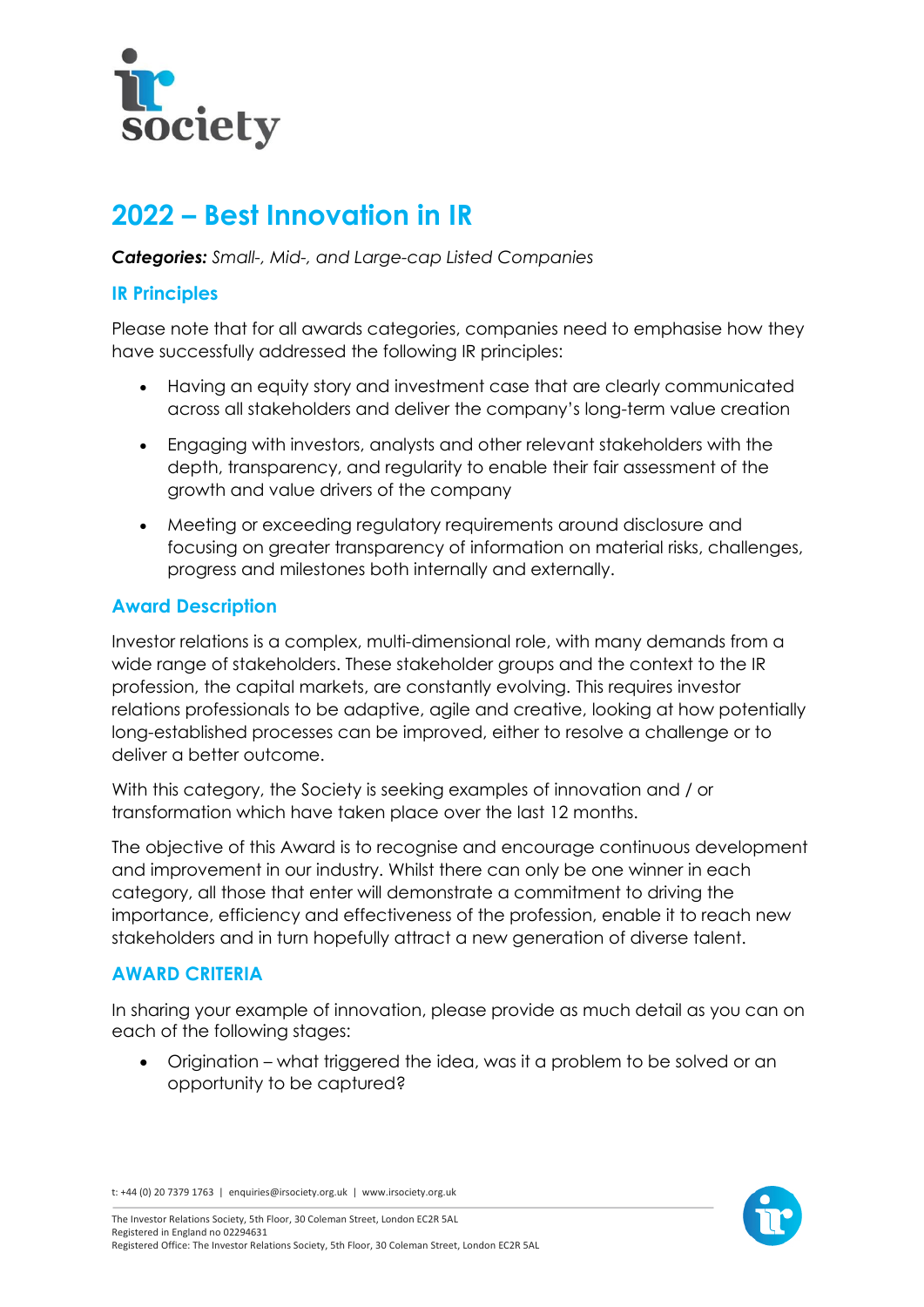

# **2022 – Best Innovation in IR**

*Categories: Small-, Mid-, and Large-cap Listed Companies*

## **IR Principles**

Please note that for all awards categories, companies need to emphasise how they have successfully addressed the following IR principles:

- Having an equity story and investment case that are clearly communicated across all stakeholders and deliver the company's long-term value creation
- Engaging with investors, analysts and other relevant stakeholders with the depth, transparency, and regularity to enable their fair assessment of the growth and value drivers of the company
- Meeting or exceeding regulatory requirements around disclosure and focusing on greater transparency of information on material risks, challenges, progress and milestones both internally and externally.

# **Award Description**

Investor relations is a complex, multi-dimensional role, with many demands from a wide range of stakeholders. These stakeholder groups and the context to the IR profession, the capital markets, are constantly evolving. This requires investor relations professionals to be adaptive, agile and creative, looking at how potentially long-established processes can be improved, either to resolve a challenge or to deliver a better outcome.

With this category, the Society is seeking examples of innovation and / or transformation which have taken place over the last 12 months.

The objective of this Award is to recognise and encourage continuous development and improvement in our industry. Whilst there can only be one winner in each category, all those that enter will demonstrate a commitment to driving the importance, efficiency and effectiveness of the profession, enable it to reach new stakeholders and in turn hopefully attract a new generation of diverse talent.

## **AWARD CRITERIA**

In sharing your example of innovation, please provide as much detail as you can on each of the following stages:

• Origination – what triggered the idea, was it a problem to be solved or an opportunity to be captured?

t: +44 (0) 20 7379 1763 | enquiries@irsociety.org.uk | www.irsociety.org.uk